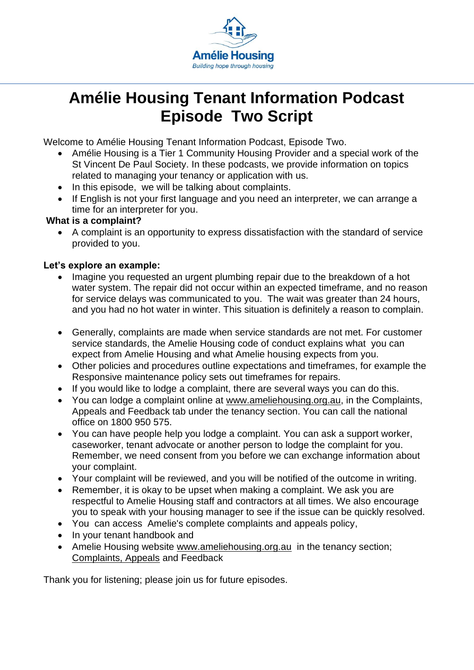

## **Amélie Housing Tenant Information Podcast Episode Two Script**

Welcome to Amélie Housing Tenant Information Podcast, Episode Two.

- Amélie Housing is a Tier 1 Community Housing Provider and a special work of the St Vincent De Paul Society. In these podcasts, we provide information on topics related to managing your tenancy or application with us.
- In this episode, we will be talking about complaints.
- If English is not your first language and you need an interpreter, we can arrange a time for an interpreter for you.

## **What is a complaint?**

• A complaint is an opportunity to express dissatisfaction with the standard of service provided to you.

## **Let's explore an example:**

- Imagine you requested an urgent plumbing repair due to the breakdown of a hot water system. The repair did not occur within an expected timeframe, and no reason for service delays was communicated to you. The wait was greater than 24 hours, and you had no hot water in winter. This situation is definitely a reason to complain.
- Generally, complaints are made when service standards are not met. For customer service standards, the Amelie Housing code of conduct explains what you can expect from Amelie Housing and what Amelie housing expects from you.
- Other policies and procedures outline expectations and timeframes, for example the Responsive maintenance policy sets out timeframes for repairs.
- If you would like to lodge a complaint, there are several ways you can do this.
- You can lodge a complaint online at [www.ameliehousing.org.au,](http://www.ameliehousing.org.au/) in the Complaints, Appeals and Feedback tab under the tenancy section. You can call the national office on 1800 950 575.
- You can have people help you lodge a complaint. You can ask a support worker, caseworker, tenant advocate or another person to lodge the complaint for you. Remember, we need consent from you before we can exchange information about your complaint.
- Your complaint will be reviewed, and you will be notified of the outcome in writing.
- Remember, it is okay to be upset when making a complaint. We ask you are respectful to Amelie Housing staff and contractors at all times. We also encourage you to speak with your housing manager to see if the issue can be quickly resolved.
- You can access Amelie's complete complaints and appeals policy,
- In your tenant handbook and
- Amelie Housing website [www.ameliehousing.org.au](http://www.ameliehousing.org.au/) in the tenancy section; [Complaints, Appeals](https://ameliehousing.org.au/tenancy/complaint-and-feedback/) and Feedback

Thank you for listening; please join us for future episodes.